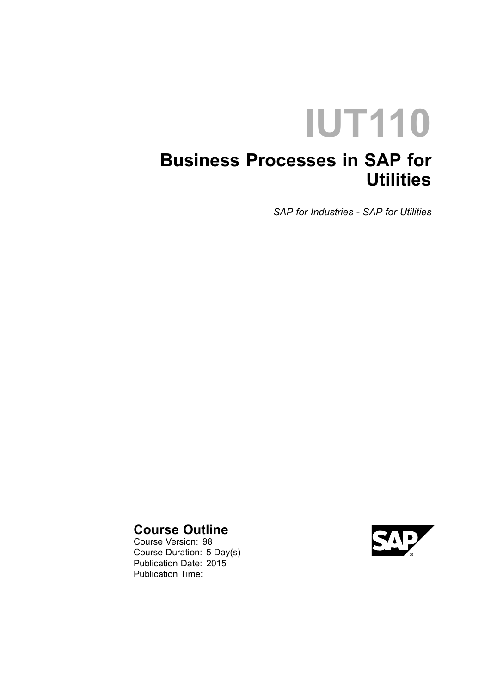# **IUT110**

# **Business Processes in SAP for Utilities**

*SAP for Industries - SAP for Utilities*

# **Course Outline**

Course Version: 98 Course Duration: 5 Day(s) Publication Date: 2015 Publication Time:

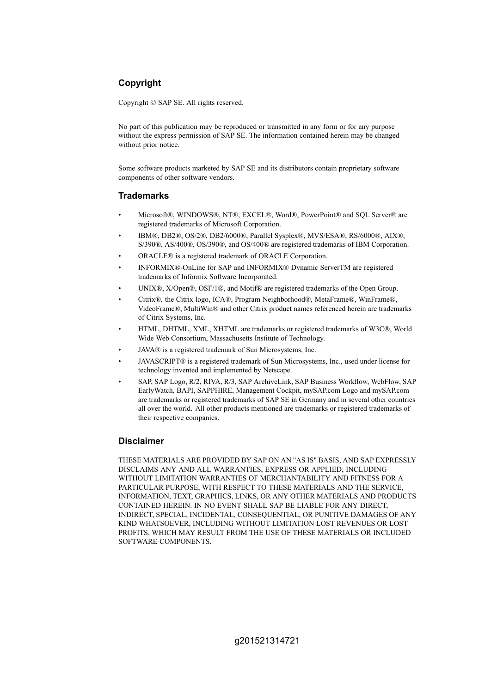#### **Copyright**

Copyright © SAP SE. All rights reserved.

No par<sup>t</sup> of this publication may be reproduced or transmitted in any form or for any purpose without the express permission of SAP SE. The information contained herein may be changed without prior notice.

Some software products marketed by SAP SE and its distributors contain proprietary software components of other software vendors.

#### **Trademarks**

- • Microsoft®, WINDOWS®, NT®, EXCEL®, Word®, PowerPoint® and SQL Server® are registered trademarks of Microsoft Corporation.
- • IBM®, DB2®, OS/2®, DB2/6000®, Parallel Sysplex®, MVS/ESA®, RS/6000®, AIX®, S/390®, AS/400®, OS/390®, and OS/400® are registered trademarks of IBM Corporation.
- •ORACLE® is <sup>a</sup> registered trademark of ORACLE Corporation.
- • INFORMIX®-OnLine for SAP and INFORMIX® Dynamic ServerTM are registered trademarks of Informix Software Incorporated.
- •UNIX®, X/Open®, OSF/1®, and Motif® are registered trademarks of the Open Group.
- • Citrix®, the Citrix logo, ICA®, Program Neighborhood®, MetaFrame®, WinFrame®, VideoFrame®, MultiWin® and other Citrix product names referenced herein are trademarks of Citrix Systems, Inc.
- • HTML, DHTML, XML, XHTML are trademarks or registered trademarks of W3C®, World Wide Web Consortium, Massachusetts Institute of Technology.
- •JAVA® is <sup>a</sup> registered trademark of Sun Microsystems, Inc.
- • JAVASCRIPT® is <sup>a</sup> registered trademark of Sun Microsystems, Inc., used under license for technology invented and implemented by Netscape.
- • SAP, SAP Logo, R/2, RIVA, R/3, SAP ArchiveLink, SAP Business Workflow, WebFlow, SAP EarlyWatch, BAPI, SAPPHIRE, Management Cockpit, mySAP.com Logo and mySAP.com are trademarks or registered trademarks of SAP SE in Germany and in several other countries all over the world. All other products mentioned are trademarks or registered trademarks of their respective companies.

#### **Disclaimer**

THESE MATERIALS ARE PROVIDED BY SAP ON AN "AS IS" BASIS, AND SAP EXPRESSLY DISCLAIMS ANY AND ALL WARRANTIES, EXPRESS OR APPLIED, INCLUDING WITHOUT LIMITATION WARRANTIES OF MERCHANTABILITY AND FITNESS FOR A PARTICULAR PURPOSE, WITH RESPECT TO THESE MATERIALS AND THE SERVICE, INFORMATION, TEXT, GRAPHICS, LINKS, OR ANY OTHER MATERIALS AND PRODUCTS CONTAINED HEREIN. IN NO EVENT SHALL SAP BE LIABLE FOR ANY DIRECT, INDIRECT, SPECIAL, INCIDENTAL, CONSEQUENTIAL, OR PUNITIVE DAMAGES OF ANY KIND WHATSOEVER, INCLUDING WITHOUT LIMITATION LOST REVENUES OR LOST PROFITS, WHICH MAY RESULT FROM THE USE OF THESE MATERIALS OR INCLUDED SOFTWARE COMPONENTS.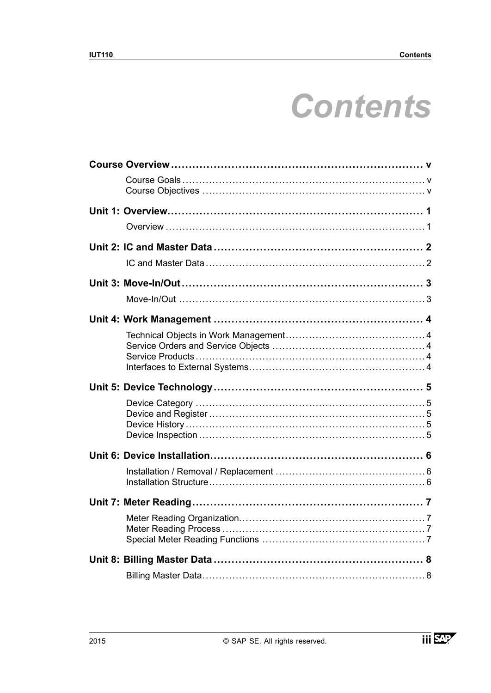# **Contents**

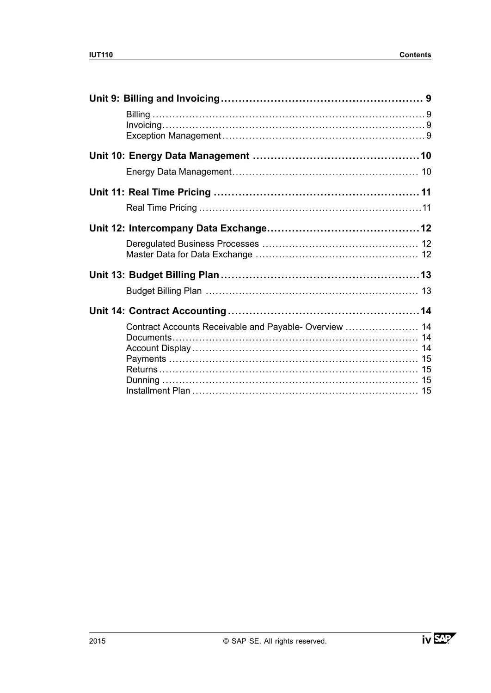| Contract Accounts Receivable and Payable-Overview  14 |  |
|-------------------------------------------------------|--|
|                                                       |  |
|                                                       |  |
|                                                       |  |
|                                                       |  |
|                                                       |  |

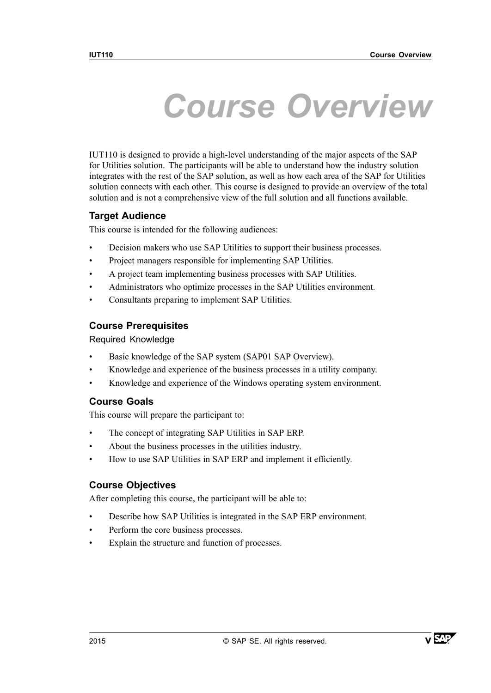# *Course Overview*

<span id="page-4-0"></span>IUT110 is designed to provide <sup>a</sup> high-level understanding of the major aspects of the SAP for Utilities solution. The participants will be able to understand how the industry solution integrates with the rest of the SAP solution, as well as how each area of the SAP for Utilities solution connects with each other. This course is designed to provide an overview of the total solution and is not <sup>a</sup> comprehensive view of the full solution and all functions available.

#### **Target Audience**

This course is intended for the following audiences:

- •Decision makers who use SAP Utilities to suppor<sup>t</sup> their business processes.
- •Project managers responsible for implementing SAP Utilities.
- •A project team implementing business processes with SAP Utilities.
- •Administrators who optimize processes in the SAP Utilities environment.
- •Consultants preparing to implement SAP Utilities.

#### **Course Prerequisites**

Required Knowledge

- •Basic knowledge of the SAP system (SAP01 SAP Overview).
- •Knowledge and experience of the business processes in <sup>a</sup> utility company.
- •Knowledge and experience of the Windows operating system environment.

#### **Course Goals**

This course will prepare the participant to:

- •The concep<sup>t</sup> of integrating SAP Utilities in SAP ERP.
- •About the business processes in the utilities industry.
- •How to use SAP Utilities in SAP ERP and implement it efficiently.

#### **Course Objectives**

- •Describe how SAP Utilities is integrated in the SAP ERP environment.
- •Perform the core business processes.
- •Explain the structure and function of processes.

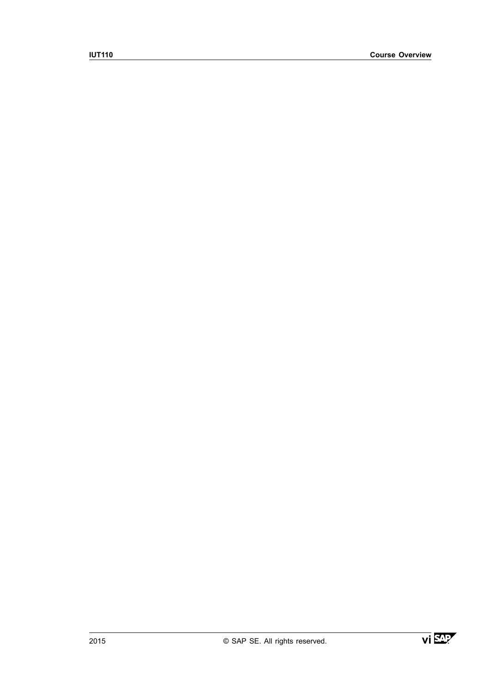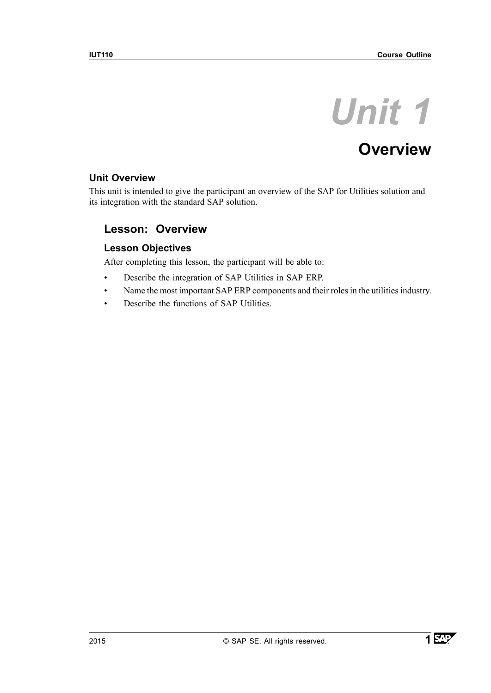# **Overview**

#### <span id="page-6-0"></span>**Unit Overview**

This unit is intended to give the participant an overview of the SAP for Utilities solution and its integration with the standard SAP solution.

### **Lesson: Overview**

#### **Lesson Objectives**

- •Describe the integration of SAP Utilities in SAP ERP.
- •Name the most important SAP ERP components and their roles in the utilities industry.
- •Describe the functions of SAP Utilities.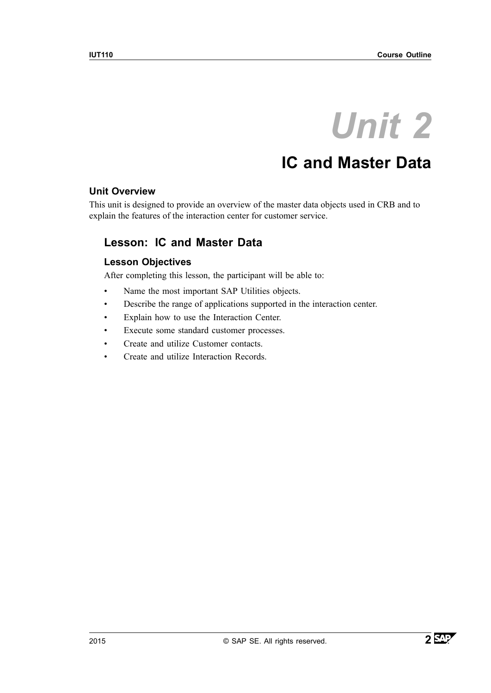

# **IC and Master Data**

#### <span id="page-7-0"></span>**Unit Overview**

This unit is designed to provide an overview of the master data objects used in CRB and to explain the features of the interaction center for customer service.

## **Lesson: IC and Master Data**

#### **Lesson Objectives**

- •Name the most important SAP Utilities objects.
- •Describe the range of applications supported in the interaction center.
- •Explain how to use the Interaction Center.
- •Execute some standard customer processes.
- •Create and utilize Customer contacts.
- •Create and utilize Interaction Records.

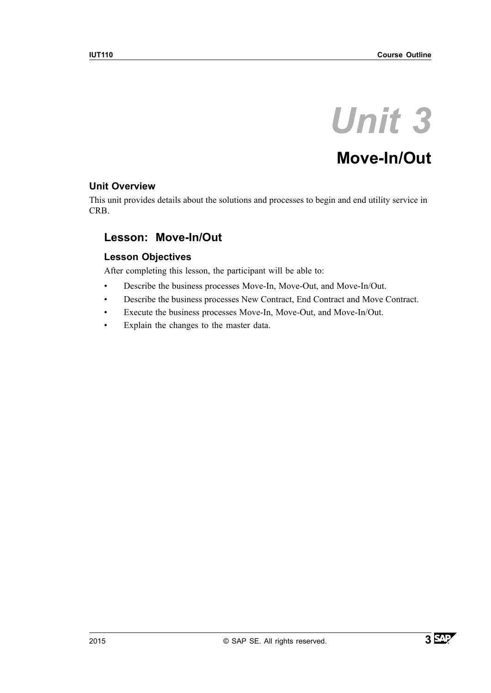

# **Move-In/Out**

#### <span id="page-8-0"></span>**Unit Overview**

This unit provides details about the solutions and processes to begin and end utility service in CRB.

## **Lesson: Move-In/Out**

#### **Lesson Objectives**

- •Describe the business processes Move-In, Move-Out, and Move-In/Out.
- •Describe the business processes New Contract, End Contract and Move Contract.
- •Execute the business processes Move-In, Move-Out, and Move-In/Out.
- •Explain the changes to the master data.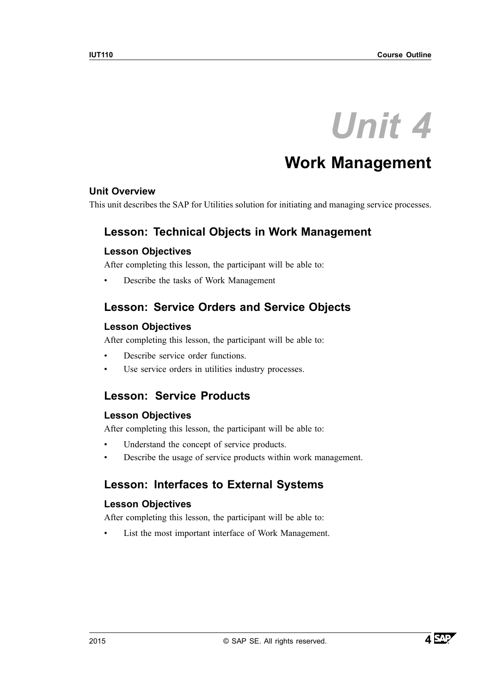

# **Work Management**

#### <span id="page-9-0"></span>**Unit Overview**

This unit describes the SAP for Utilities solution for initiating and managing service processes.

## **Lesson: Technical Objects in Work Management**

#### **Lesson Objectives**

After completing this lesson, the participant will be able to:

•Describe the tasks of Work Management

# **Lesson: Service Orders and Service Objects**

#### **Lesson Objectives**

After completing this lesson, the participant will be able to:

- •Describe service order functions.
- •Use service orders in utilities industry processes.

## **Lesson: Service Products**

#### **Lesson Objectives**

After completing this lesson, the participant will be able to:

- •Understand the concep<sup>t</sup> of service products.
- •Describe the usage of service products within work management.

## **Lesson: Interfaces to External Systems**

#### **Lesson Objectives**

After completing this lesson, the participant will be able to:

•List the most important interface of Work Management.

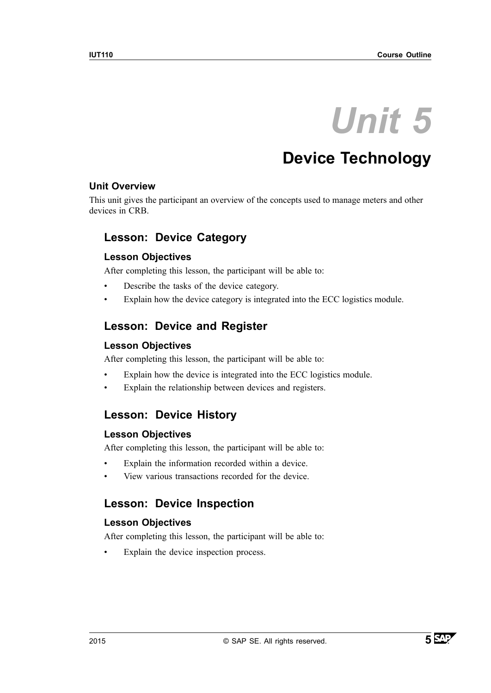# **Device Technology**

#### <span id="page-10-0"></span>**Unit Overview**

This unit gives the participant an overview of the concepts used to manage meters and other devices in CRB.

## **Lesson: Device Category**

#### **Lesson Objectives**

After completing this lesson, the participant will be able to:

- •Describe the tasks of the device category.
- •Explain how the device category is integrated into the ECC logistics module.

### **Lesson: Device and Register**

#### **Lesson Objectives**

After completing this lesson, the participant will be able to:

- •Explain how the device is integrated into the ECC logistics module.
- •Explain the relationship between devices and registers.

## **Lesson: Device History**

#### **Lesson Objectives**

After completing this lesson, the participant will be able to:

- •Explain the information recorded within <sup>a</sup> device.
- •View various transactions recorded for the device.

### **Lesson: Device Inspection**

#### **Lesson Objectives**

After completing this lesson, the participant will be able to:

•Explain the device inspection process.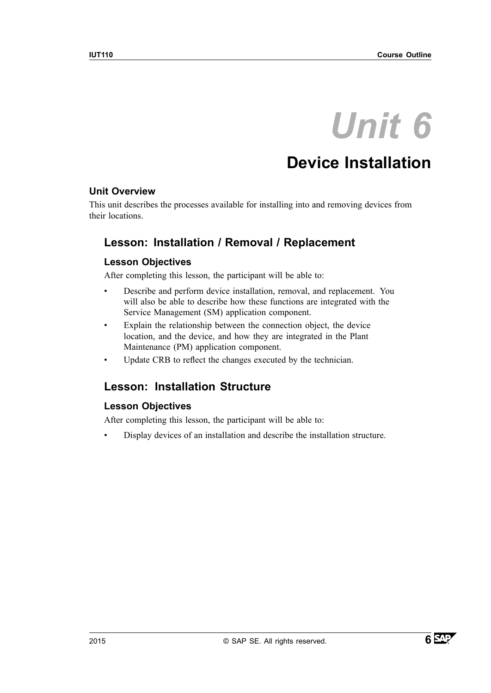

# **Device Installation**

#### <span id="page-11-0"></span>**Unit Overview**

This unit describes the processes available for installing into and removing devices from their locations.

### **Lesson: Installation / Removal / Replacement**

#### **Lesson Objectives**

After completing this lesson, the participant will be able to:

- • Describe and perform device installation, removal, and replacement. You will also be able to describe how these functions are integrated with the Service Management (SM) application component.
- • Explain the relationship between the connection object, the device location, and the device, and how they are integrated in the Plant Maintenance (PM) application component.
- •Update CRB to reflect the changes executed by the technician.

### **Lesson: Installation Structure**

#### **Lesson Objectives**

After completing this lesson, the participant will be able to:

•Display devices of an installation and describe the installation structure.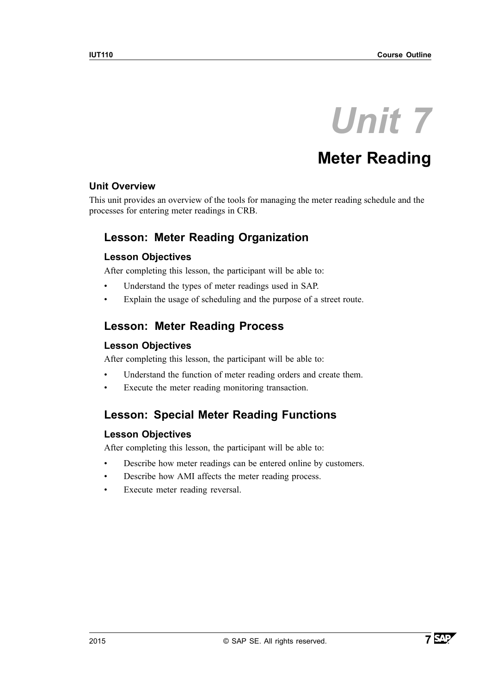

# **Meter Reading**

#### <span id="page-12-0"></span>**Unit Overview**

This unit provides an overview of the tools for managing the meter reading schedule and the processes for entering meter readings in CRB.

## **Lesson: Meter Reading Organization**

#### **Lesson Objectives**

After completing this lesson, the participant will be able to:

- •Understand the types of meter readings used in SAP.
- •Explain the usage of scheduling and the purpose of <sup>a</sup> street route.

## **Lesson: Meter Reading Process**

#### **Lesson Objectives**

After completing this lesson, the participant will be able to:

- •Understand the function of meter reading orders and create them.
- •Execute the meter reading monitoring transaction.

# **Lesson: Special Meter Reading Functions**

#### **Lesson Objectives**

- •Describe how meter readings can be entered online by customers.
- •Describe how AMI affects the meter reading process.
- •Execute meter reading reversal.

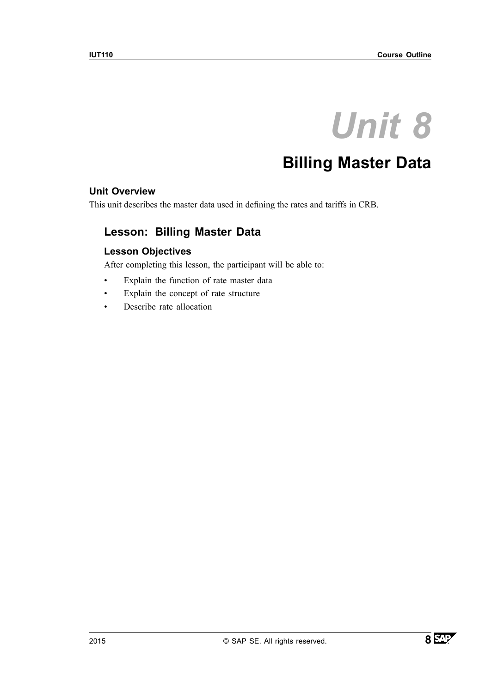

# **Billing Master Data**

#### <span id="page-13-0"></span>**Unit Overview**

This unit describes the master data used in defining the rates and tariffs in CRB.

# **Lesson: Billing Master Data**

### **Lesson Objectives**

- •Explain the function of rate master data
- •Explain the concep<sup>t</sup> of rate structure
- •Describe rate allocation

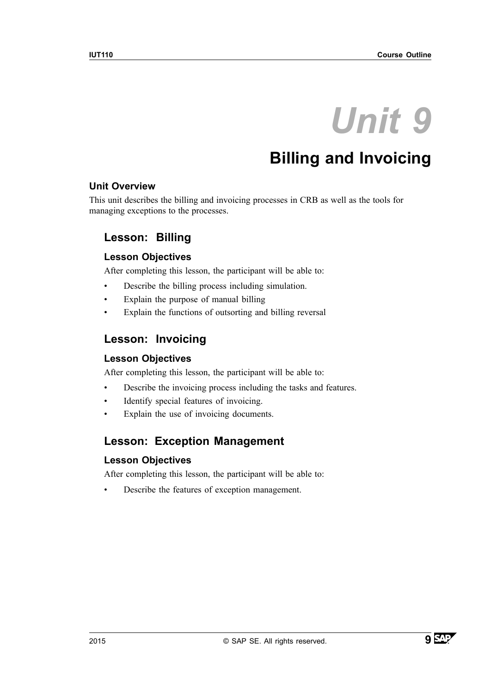# **Billing and Invoicing**

#### <span id="page-14-0"></span>**Unit Overview**

This unit describes the billing and invoicing processes in CRB as well as the tools for managing exceptions to the processes.

### **Lesson: Billing**

#### **Lesson Objectives**

After completing this lesson, the participant will be able to:

- •Describe the billing process including simulation.
- •Explain the purpose of manual billing
- •Explain the functions of outsorting and billing reversal

## **Lesson: Invoicing**

#### **Lesson Objectives**

After completing this lesson, the participant will be able to:

- •Describe the invoicing process including the tasks and features.
- •Identify special features of invoicing.
- •Explain the use of invoicing documents.

#### **Lesson: Exception Management**

#### **Lesson Objectives**

After completing this lesson, the participant will be able to:

•Describe the features of exception management.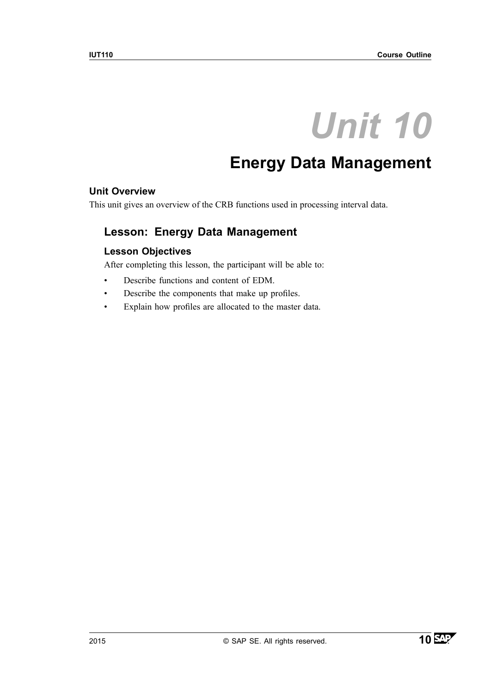# **Energy Data Management**

#### <span id="page-15-0"></span>**Unit Overview**

This unit gives an overview of the CRB functions used in processing interval data.

## **Lesson: Energy Data Management**

#### **Lesson Objectives**

- •Describe functions and content of EDM.
- •Describe the components that make up profiles.
- •Explain how profiles are allocated to the master data.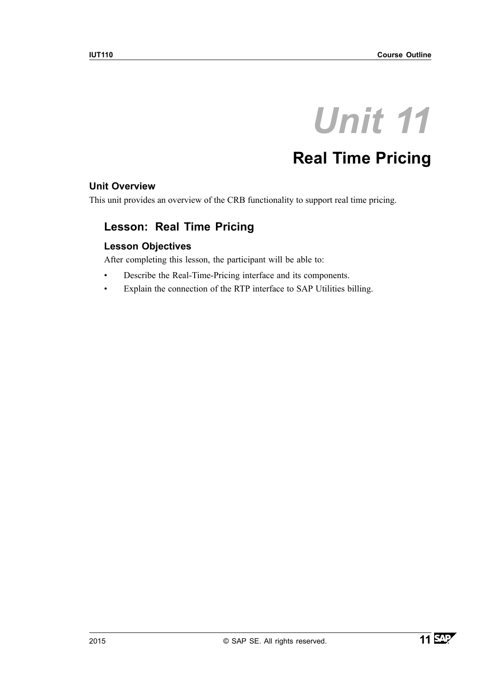# **Real Time Pricing**

#### <span id="page-16-0"></span>**Unit Overview**

This unit provides an overview of the CRB functionality to suppor<sup>t</sup> real time pricing.

# **Lesson: Real Time Pricing**

#### **Lesson Objectives**

- •Describe the Real-Time-Pricing interface and its components.
- •Explain the connection of the RTP interface to SAP Utilities billing.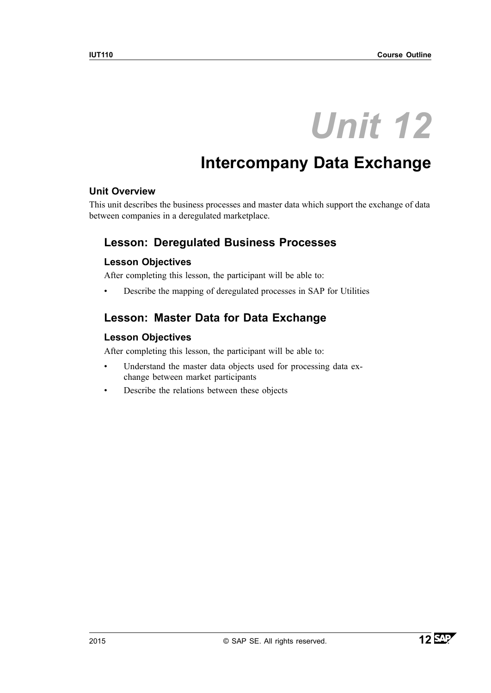# **Intercompany Data Exchange**

#### <span id="page-17-0"></span>**Unit Overview**

This unit describes the business processes and master data which suppor<sup>t</sup> the exchange of data between companies in <sup>a</sup> deregulated marketplace.

# **Lesson: Deregulated Business Processes**

#### **Lesson Objectives**

After completing this lesson, the participant will be able to:

•Describe the mapping of deregulated processes in SAP for Utilities

# **Lesson: Master Data for Data Exchange**

#### **Lesson Objectives**

- • Understand the master data objects used for processing data exchange between market participants
- •Describe the relations between these objects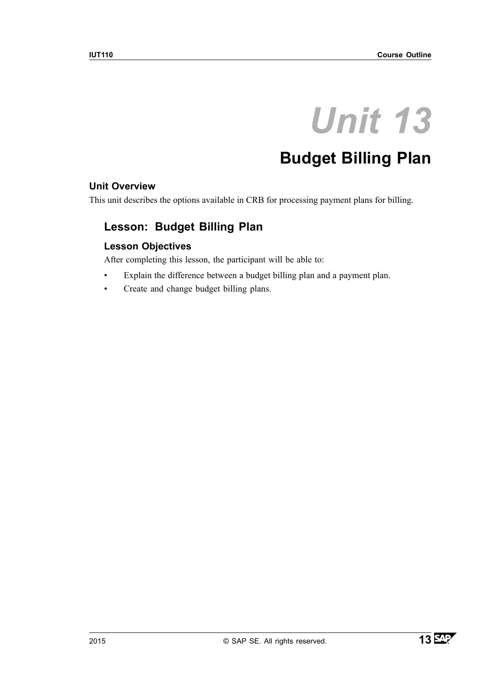# **Budget Billing Plan**

#### <span id="page-18-0"></span>**Unit Overview**

This unit describes the options available in CRB for processing paymen<sup>t</sup> plans for billing.

# **Lesson: Budget Billing Plan**

#### **Lesson Objectives**

- •Explain the difference between <sup>a</sup> budget billing plan and <sup>a</sup> paymen<sup>t</sup> plan.
- •Create and change budget billing plans.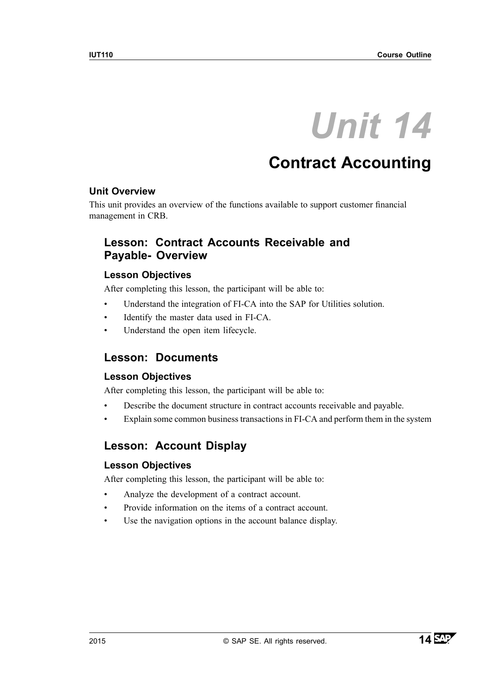# **Contract Accounting**

#### <span id="page-19-0"></span>**Unit Overview**

This unit provides an overview of the functions available to suppor<sup>t</sup> customer financial managemen<sup>t</sup> in CRB.

## **Lesson: Contract Accounts Receivable and Payable- Overview**

#### **Lesson Objectives**

After completing this lesson, the participant will be able to:

- •Understand the integration of FI-CA into the SAP for Utilities solution.
- •Identify the master data used in FI-CA.
- •Understand the open item lifecycle.

## **Lesson: Documents**

#### **Lesson Objectives**

After completing this lesson, the participant will be able to:

- •Describe the document structure in contract accounts receivable and payable.
- •Explain some common business transactions in FI-CA and perform them in the system

# **Lesson: Account Display**

#### **Lesson Objectives**

- •Analyze the development of <sup>a</sup> contract account.
- •Provide information on the items of <sup>a</sup> contract account.
- •Use the navigation options in the account balance display.